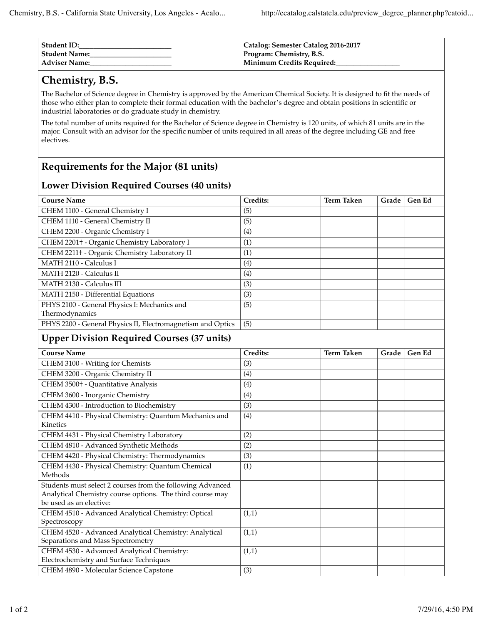| Student ID:          | Catalog: Semester Catalog 2016-2017 |
|----------------------|-------------------------------------|
| Student Name:        | Program: Chemistry, B.S.            |
| <b>Adviser Name:</b> | Minimum Credits Required:           |

## **Chemistry, B.S.**

The Bachelor of Science degree in Chemistry is approved by the American Chemical Society. It is designed to fit the needs of those who either plan to complete their formal education with the bachelor's degree and obtain positions in scientific or industrial laboratories or do graduate study in chemistry.

The total number of units required for the Bachelor of Science degree in Chemistry is 120 units, of which 81 units are in the major. Consult with an advisor for the specific number of units required in all areas of the degree including GE and free electives.

## **Requirements for the Major (81 units)**

## **Lower Division Required Courses (40 units)**

| <b>Course Name</b>                                                                                                                                 | Credits: | <b>Term Taken</b> | Grade | Gen Ed |  |  |  |
|----------------------------------------------------------------------------------------------------------------------------------------------------|----------|-------------------|-------|--------|--|--|--|
| CHEM 1100 - General Chemistry I                                                                                                                    | (5)      |                   |       |        |  |  |  |
| CHEM 1110 - General Chemistry II                                                                                                                   | (5)      |                   |       |        |  |  |  |
| CHEM 2200 - Organic Chemistry I                                                                                                                    | (4)      |                   |       |        |  |  |  |
| CHEM 2201+ - Organic Chemistry Laboratory I                                                                                                        | (1)      |                   |       |        |  |  |  |
| CHEM 2211+ - Organic Chemistry Laboratory II                                                                                                       | (1)      |                   |       |        |  |  |  |
| MATH 2110 - Calculus I                                                                                                                             | (4)      |                   |       |        |  |  |  |
| MATH 2120 - Calculus II                                                                                                                            | (4)      |                   |       |        |  |  |  |
| MATH 2130 - Calculus III                                                                                                                           | (3)      |                   |       |        |  |  |  |
| MATH 2150 - Differential Equations                                                                                                                 | (3)      |                   |       |        |  |  |  |
| PHYS 2100 - General Physics I: Mechanics and<br>Thermodynamics                                                                                     | (5)      |                   |       |        |  |  |  |
| PHYS 2200 - General Physics II, Electromagnetism and Optics                                                                                        | (5)      |                   |       |        |  |  |  |
| <b>Upper Division Required Courses (37 units)</b>                                                                                                  |          |                   |       |        |  |  |  |
| <b>Course Name</b>                                                                                                                                 | Credits: | <b>Term Taken</b> | Grade | Gen Ed |  |  |  |
| CHEM 3100 - Writing for Chemists                                                                                                                   | (3)      |                   |       |        |  |  |  |
| CHEM 3200 - Organic Chemistry II                                                                                                                   | (4)      |                   |       |        |  |  |  |
| CHEM 3500+ - Quantitative Analysis                                                                                                                 | (4)      |                   |       |        |  |  |  |
| CHEM 3600 - Inorganic Chemistry                                                                                                                    | (4)      |                   |       |        |  |  |  |
| CHEM 4300 - Introduction to Biochemistry                                                                                                           | (3)      |                   |       |        |  |  |  |
| CHEM 4410 - Physical Chemistry: Quantum Mechanics and                                                                                              | (4)      |                   |       |        |  |  |  |
| Kinetics                                                                                                                                           |          |                   |       |        |  |  |  |
| CHEM 4431 - Physical Chemistry Laboratory                                                                                                          | (2)      |                   |       |        |  |  |  |
| CHEM 4810 - Advanced Synthetic Methods                                                                                                             | (2)      |                   |       |        |  |  |  |
| CHEM 4420 - Physical Chemistry: Thermodynamics                                                                                                     | (3)      |                   |       |        |  |  |  |
| CHEM 4430 - Physical Chemistry: Quantum Chemical<br>Methods                                                                                        | (1)      |                   |       |        |  |  |  |
| Students must select 2 courses from the following Advanced<br>Analytical Chemistry course options. The third course may<br>be used as an elective: |          |                   |       |        |  |  |  |
| CHEM 4510 - Advanced Analytical Chemistry: Optical<br>Spectroscopy                                                                                 | (1,1)    |                   |       |        |  |  |  |
| CHEM 4520 - Advanced Analytical Chemistry: Analytical<br>Separations and Mass Spectrometry                                                         | (1,1)    |                   |       |        |  |  |  |
| CHEM 4530 - Advanced Analytical Chemistry:<br>Electrochemistry and Surface Techniques                                                              | (1,1)    |                   |       |        |  |  |  |
| CHEM 4890 - Molecular Science Capstone                                                                                                             | (3)      |                   |       |        |  |  |  |